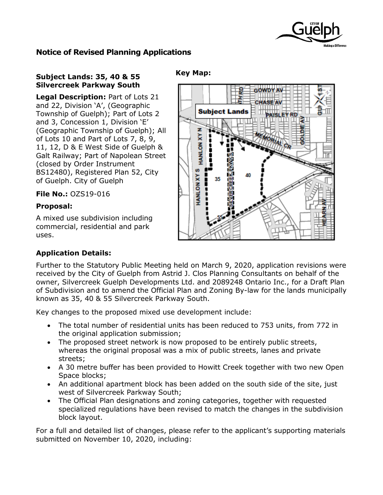

## **Notice of Revised Planning Applications**

## **Subject Lands: 35, 40 & 55 Silvercreek Parkway South**

**Legal Description:** Part of Lots 21 and 22, Division 'A', (Geographic Township of Guelph); Part of Lots 2 and 3, Concession 1, Division 'E' (Geographic Township of Guelph); All of Lots 10 and Part of Lots 7, 8, 9, 11, 12, D & E West Side of Guelph & Galt Railway; Part of Napolean Street (closed by Order Instrument BS12480), Registered Plan 52, City of Guelph. City of Guelph

**File No.:** OZS19-016

### **Proposal:**

A mixed use subdivision including commercial, residential and park uses.

#### **Key Map:**



## **Application Details:**

Further to the Statutory Public Meeting held on March 9, 2020, application revisions were received by the City of Guelph from Astrid J. Clos Planning Consultants on behalf of the owner, Silvercreek Guelph Developments Ltd. and 2089248 Ontario Inc., for a Draft Plan of Subdivision and to amend the Official Plan and Zoning By-law for the lands municipally known as 35, 40 & 55 Silvercreek Parkway South.

Key changes to the proposed mixed use development include:

- The total number of residential units has been reduced to 753 units, from 772 in the original application submission;
- The proposed street network is now proposed to be entirely public streets, whereas the original proposal was a mix of public streets, lanes and private streets;
- A 30 metre buffer has been provided to Howitt Creek together with two new Open Space blocks;
- An additional apartment block has been added on the south side of the site, just west of Silvercreek Parkway South;
- The Official Plan designations and zoning categories, together with requested specialized regulations have been revised to match the changes in the subdivision block layout.

For a full and detailed list of changes, please refer to the applicant's supporting materials submitted on November 10, 2020, including: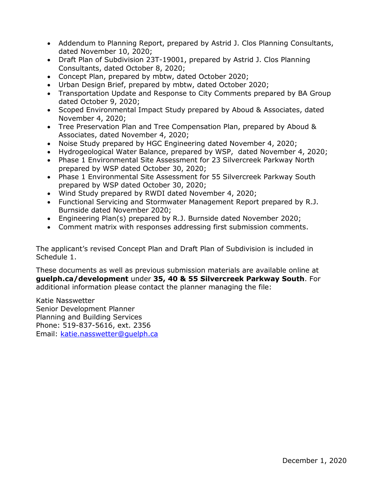- Addendum to Planning Report, prepared by Astrid J. Clos Planning Consultants, dated November 10, 2020;
- Draft Plan of Subdivision 23T-19001, prepared by Astrid J. Clos Planning Consultants, dated October 8, 2020;
- Concept Plan, prepared by mbtw, dated October 2020;
- Urban Design Brief, prepared by mbtw, dated October 2020;
- Transportation Update and Response to City Comments prepared by BA Group dated October 9, 2020;
- Scoped Environmental Impact Study prepared by Aboud & Associates, dated November 4, 2020;
- Tree Preservation Plan and Tree Compensation Plan, prepared by Aboud & Associates, dated November 4, 2020;
- Noise Study prepared by HGC Engineering dated November 4, 2020;
- Hydrogeological Water Balance, prepared by WSP, dated November 4, 2020;
- Phase 1 Environmental Site Assessment for 23 Silvercreek Parkway North prepared by WSP dated October 30, 2020;
- Phase 1 Environmental Site Assessment for 55 Silvercreek Parkway South prepared by WSP dated October 30, 2020;
- Wind Study prepared by RWDI dated November 4, 2020;
- Functional Servicing and Stormwater Management Report prepared by R.J. Burnside dated November 2020;
- Engineering Plan(s) prepared by R.J. Burnside dated November 2020;
- Comment matrix with responses addressing first submission comments.

The applicant's revised Concept Plan and Draft Plan of Subdivision is included in Schedule 1.

These documents as well as previous submission materials are available online at **guelph.ca/development** under **35, 40 & 55 Silvercreek Parkway South**. For additional information please contact the planner managing the file:

Katie Nasswetter Senior Development Planner Planning and Building Services Phone: 519-837-5616, ext. 2356 Email: [katie.nasswetter@guelph.ca](file://///city.guelph.ca/ServiceAreas01$/IDE/Planning/STAFF%20FOLDERS/Katie/Development%20Applications/360%20Whitelaw%20Road%20ZC%20OP/katie.nasswetter@guelph.ca)